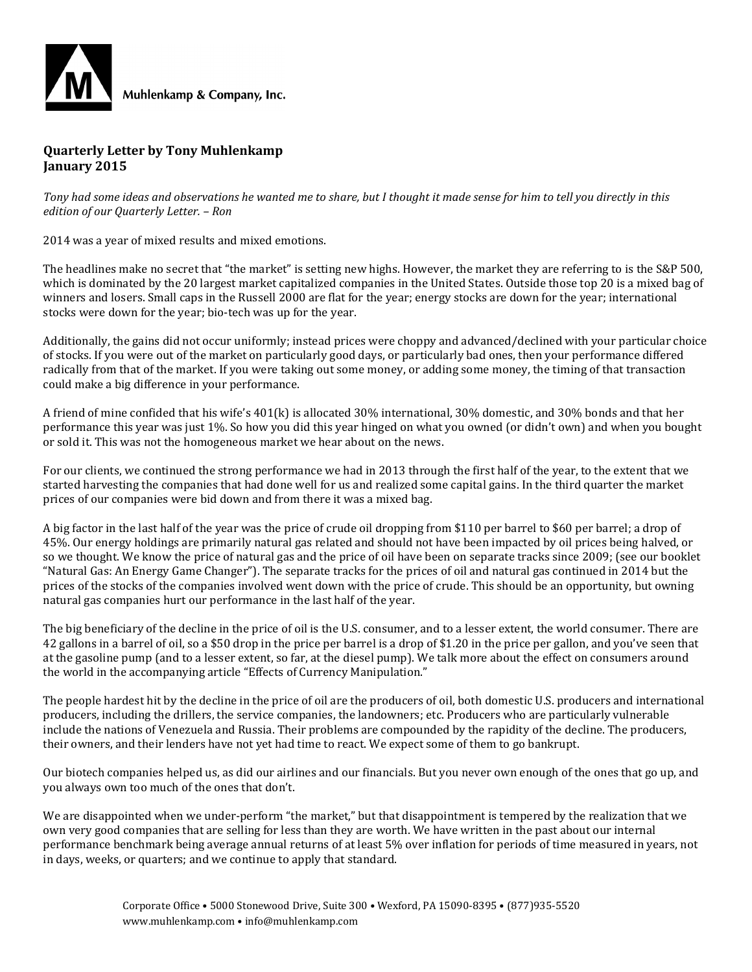

#### **Quarterly Letter by Tony Muhlenkamp January 2015**

*Tony had some ideas and observations he wanted me to share, but I thought it made sense for him to tell you directly in this edition of our Quarterly Letter. – Ron*

2014 was a year of mixed results and mixed emotions.

The headlines make no secret that "the market" is setting new highs. However, the market they are referring to is the S&P 500, which is dominated by the 20 largest market capitalized companies in the United States. Outside those top 20 is a mixed bag of winners and losers. Small caps in the Russell 2000 are flat for the year; energy stocks are down for the year; international stocks were down for the year; bio-tech was up for the year.

Additionally, the gains did not occur uniformly; instead prices were choppy and advanced/declined with your particular choice of stocks. If you were out of the market on particularly good days, or particularly bad ones, then your performance differed radically from that of the market. If you were taking out some money, or adding some money, the timing of that transaction could make a big difference in your performance.

A friend of mine confided that his wife's 401(k) is allocated 30% international, 30% domestic, and 30% bonds and that her performance this year was just 1%. So how you did this year hinged on what you owned (or didn't own) and when you bought or sold it. This was not the homogeneous market we hear about on the news.

For our clients, we continued the strong performance we had in 2013 through the first half of the year, to the extent that we started harvesting the companies that had done well for us and realized some capital gains. In the third quarter the market prices of our companies were bid down and from there it was a mixed bag.

A big factor in the last half of the year was the price of crude oil dropping from \$110 per barrel to \$60 per barrel; a drop of 45%. Our energy holdings are primarily natural gas related and should not have been impacted by oil prices being halved, or so we thought. We know the price of natural gas and the price of oil have been on separate tracks since 2009; (see our booklet "Natural Gas: An Energy Game Changer"). The separate tracks for the prices of oil and natural gas continued in 2014 but the prices of the stocks of the companies involved went down with the price of crude. This should be an opportunity, but owning natural gas companies hurt our performance in the last half of the year.

The big beneficiary of the decline in the price of oil is the U.S. consumer, and to a lesser extent, the world consumer. There are 42 gallons in a barrel of oil, so a \$50 drop in the price per barrel is a drop of \$1.20 in the price per gallon, and you've seen that at the gasoline pump (and to a lesser extent, so far, at the diesel pump). We talk more about the effect on consumers around the world in the accompanying article "Effects of Currency Manipulation."

The people hardest hit by the decline in the price of oil are the producers of oil, both domestic U.S. producers and international producers, including the drillers, the service companies, the landowners; etc. Producers who are particularly vulnerable include the nations of Venezuela and Russia. Their problems are compounded by the rapidity of the decline. The producers, their owners, and their lenders have not yet had time to react. We expect some of them to go bankrupt.

Our biotech companies helped us, as did our airlines and our financials. But you never own enough of the ones that go up, and you always own too much of the ones that don't.

We are disappointed when we under-perform "the market," but that disappointment is tempered by the realization that we own very good companies that are selling for less than they are worth. We have written in the past about our internal performance benchmark being average annual returns of at least 5% over inflation for periods of time measured in years, not in days, weeks, or quarters; and we continue to apply that standard.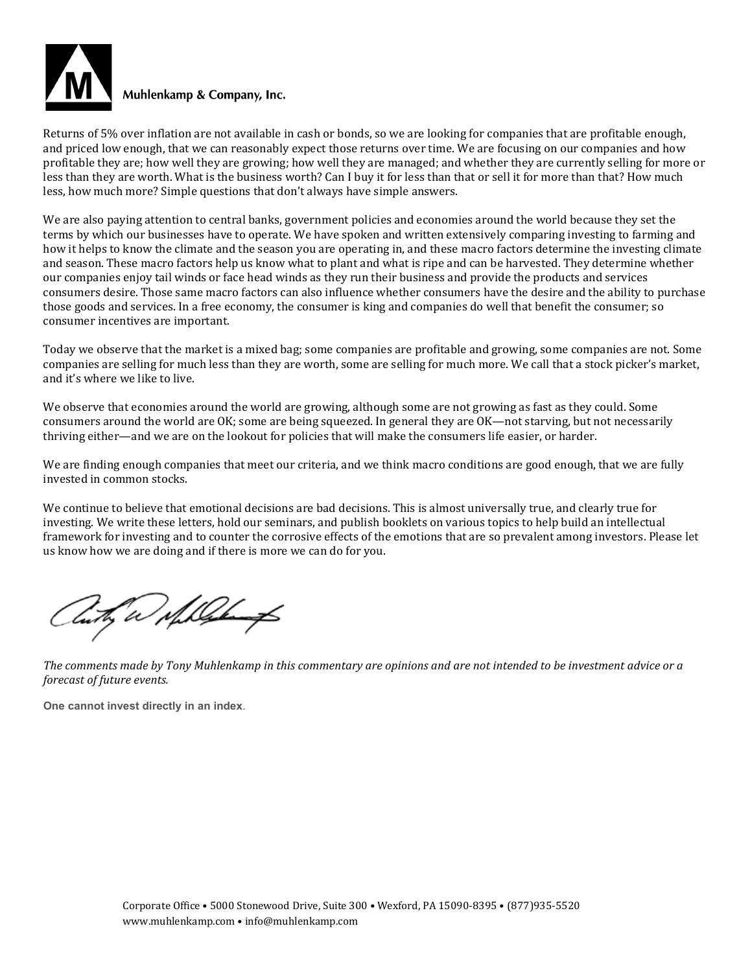

Returns of 5% over inflation are not available in cash or bonds, so we are looking for companies that are profitable enough, and priced low enough, that we can reasonably expect those returns over time. We are focusing on our companies and how profitable they are; how well they are growing; how well they are managed; and whether they are currently selling for more or less than they are worth. What is the business worth? Can I buy it for less than that or sell it for more than that? How much less, how much more? Simple questions that don't always have simple answers.

We are also paying attention to central banks, government policies and economies around the world because they set the terms by which our businesses have to operate. We have spoken and written extensively comparing investing to farming and how it helps to know the climate and the season you are operating in, and these macro factors determine the investing climate and season. These macro factors help us know what to plant and what is ripe and can be harvested. They determine whether our companies enjoy tail winds or face head winds as they run their business and provide the products and services consumers desire. Those same macro factors can also influence whether consumers have the desire and the ability to purchase those goods and services. In a free economy, the consumer is king and companies do well that benefit the consumer; so consumer incentives are important.

Today we observe that the market is a mixed bag; some companies are profitable and growing, some companies are not. Some companies are selling for much less than they are worth, some are selling for much more. We call that a stock picker's market, and it's where we like to live.

We observe that economies around the world are growing, although some are not growing as fast as they could. Some consumers around the world are OK; some are being squeezed. In general they are OK—not starving, but not necessarily thriving either—and we are on the lookout for policies that will make the consumers life easier, or harder.

We are finding enough companies that meet our criteria, and we think macro conditions are good enough, that we are fully invested in common stocks.

We continue to believe that emotional decisions are bad decisions. This is almost universally true, and clearly true for investing. We write these letters, hold our seminars, and publish booklets on various topics to help build an intellectual framework for investing and to counter the corrosive effects of the emotions that are so prevalent among investors. Please let us know how we are doing and if there is more we can do for you.

Cuty a shall be

*The comments made by Tony Muhlenkamp in this commentary are opinions and are not intended to be investment advice or a forecast of future events.*

**One cannot invest directly in an index**.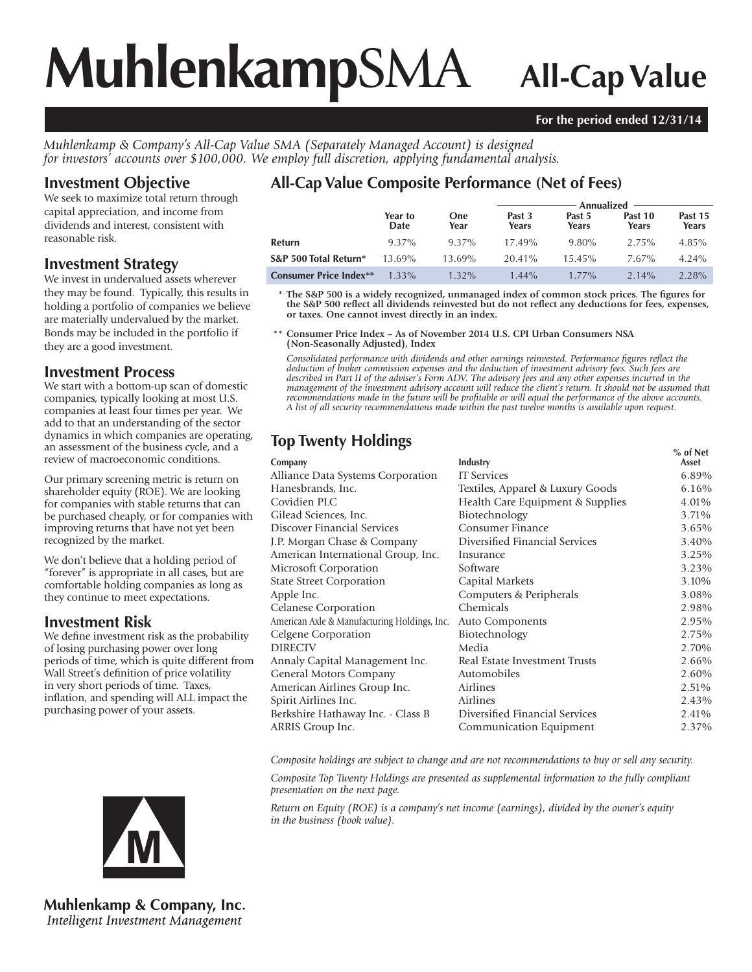# **Muhlenkamp**SMA **All-Cap Value**

#### **For the period ended 12/31/14**

*Muhlenkamp & Company's All-Cap Value SMA (Separately Managed Account) is designed for investors' accounts over \$100,000. We employ full discretion, applying fundamental analysis.*

### **Investment Objective**

We seek to maximize total return through capital appreciation, and income from dividends and interest, consistent with reasonable risk.

#### **Investment Strategy**

We invest in undervalued assets wherever they may be found. Typically, this results in holding a portfolio of companies we believe are materially undervalued by the market. Bonds may be included in the portfolio if they are a good investment.

#### **Investment Process**

We start with a bottom-up scan of domestic companies, typically looking at most U.S. companies at least four times per year. We add to that an understanding of the sector dynamics in which companies are operating, an assessment of the business cycle, and a review of macroeconomic conditions.

Our primary screening metric is return on shareholder equity (ROE). We are looking for companies with stable returns that can be purchased cheaply, or for companies with improving returns that have not yet been recognized by the market.

We don't believe that a holding period of "forever" is appropriate in all cases, but are comfortable holding companies as long as they continue to meet expectations.

## **Investment Risk**

We define investment risk as the probability of losing purchasing power over long periods of time, which is quite different from Wall Street's definition of price volatility in very short periods of time. Taxes, inflation, and spending will ALL impact the purchasing power of your assets.

# **All-Cap Value Composite Performance (Net of Fees)**

|                               |                 |             | Annualized $-$  |                 |                  |                  |  |
|-------------------------------|-----------------|-------------|-----------------|-----------------|------------------|------------------|--|
|                               | Year to<br>Date | One<br>Year | Past 3<br>Years | Past 5<br>Years | Past 10<br>Years | Past 15<br>Years |  |
| Refurn                        | 9.37%           | 9.37%       | $17.49\%$       | $9.80\%$        | 2.75%            | $4.85\%$         |  |
| S&P 500 Total Return*         | 13.69%          | 13.69%      | $20.41\%$       | $15.45\%$       | $7.67\%$         | $4.24\%$         |  |
| <b>Consumer Price Index**</b> | $1.33\%$        | $1.32\%$    | $1.44\%$        | $1.77\%$        | $2.14\%$         | 2.28%            |  |

 **\* The S&P 500 is a widely recognized, unmanaged index of common stock prices. The figures for the S&P 500 reflect all dividends reinvested but do not reflect any deductions for fees, expenses, or taxes. One cannot invest directly in an index.**

 \*\* **Consumer Price Index – As of November 2014 U.S. CPI Urban Consumers NSA (Non-Seasonally Adjusted), Index**

*Consolidated performance with dividends and other earnings reinvested. Performance figures reflect the deduction of broker commission expenses and the deduction of investment advisory fees. Such fees are described in Part II of the adviser's Form ADV. The advisory fees and any other expenses incurred in the management of the investment advisory account will reduce the client's return. It should not be assumed that recommendations made in the future will be profitable or will equal the performance of the above accounts. A list of all security recommendations made within the past twelve months is available upon request.*

# **Top Twenty Holdings Security 1999**

| Company                                      | Industry                         | 70 UI NEU<br>Asset |
|----------------------------------------------|----------------------------------|--------------------|
| Alliance Data Systems Corporation            | <b>IT Services</b>               | 6.89%              |
| Hanesbrands, Inc.                            | Textiles, Apparel & Luxury Goods | 6.16%              |
| Covidien PLC                                 | Health Care Equipment & Supplies | 4.01%              |
| Gilead Sciences, Inc.                        | Biotechnology                    | 3.71%              |
| Discover Financial Services                  | Consumer Finance                 | 3.65%              |
| J.P. Morgan Chase & Company                  | Diversified Financial Services   | 3.40%              |
| American International Group, Inc.           | Insurance                        | 3.25%              |
| Microsoft Corporation                        | Software                         | 3.23%              |
| <b>State Street Corporation</b>              | Capital Markets                  | 3.10%              |
| Apple Inc.                                   | Computers & Peripherals          | 3.08%              |
| Celanese Corporation                         | Chemicals                        | 2.98%              |
| American Axle & Manufacturing Holdings, Inc. | Auto Components                  | 2.95%              |
| Celgene Corporation                          | Biotechnology                    | 2.75%              |
| <b>DIRECTV</b>                               | Media                            | 2.70%              |
| Annaly Capital Management Inc.               | Real Estate Investment Trusts    | 2.66%              |
| General Motors Company                       | Automobiles                      | 2.60%              |
| American Airlines Group Inc.                 | Airlines                         | 2.51%              |
| Spirit Airlines Inc.                         | Airlines                         | 2.43%              |
| Berkshire Hathaway Inc. - Class B            | Diversified Financial Services   | 2.41%              |
| ARRIS Group Inc.                             | Communication Equipment          | 2.37%              |
|                                              |                                  |                    |

*Composite holdings are subject to change and are not recommendations to buy or sell any security.*

*Composite Top Twenty Holdings are presented as supplemental information to the fully compliant presentation on the next page.*

*Return on Equity (ROE) is a company's net income (earnings), divided by the owner's equity in the business (book value).*



**Muhlenkamp & Company, Inc.** Intelligent Investment Management